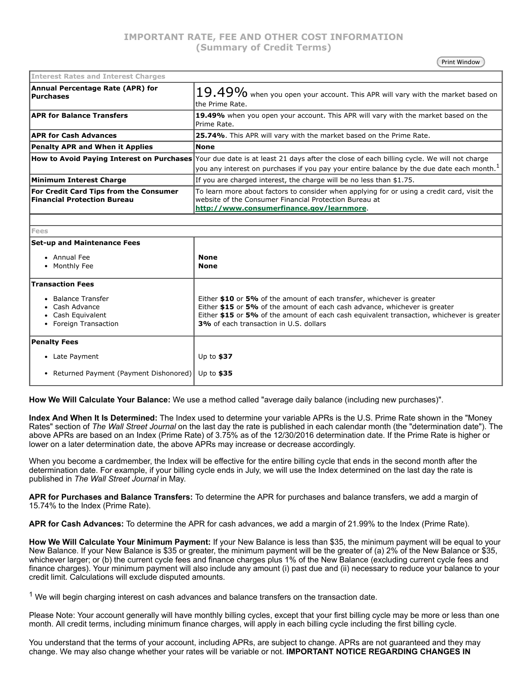# **IMPORTANT RATE, FEE AND OTHER COST INFORMATION (Summary of Credit Terms)**

Print Window

| <b>Interest Rates and Interest Charges</b>                                          |                                                                                                                                                                                                                                                |
|-------------------------------------------------------------------------------------|------------------------------------------------------------------------------------------------------------------------------------------------------------------------------------------------------------------------------------------------|
| Annual Percentage Rate (APR) for<br>Purchases                                       | i $19.49\%$ when you open your account. This APR will vary with the market based on $ $<br>the Prime Rate.                                                                                                                                     |
| <b>APR for Balance Transfers</b>                                                    | 19.49% when you open your account. This APR will vary with the market based on the<br>Prime Rate.                                                                                                                                              |
| <b>APR for Cash Advances</b>                                                        | 25.74%. This APR will vary with the market based on the Prime Rate.                                                                                                                                                                            |
| Penalty APR and When it Applies                                                     | None                                                                                                                                                                                                                                           |
|                                                                                     | How to Avoid Paying Interest on Purchases Your due date is at least 21 days after the close of each billing cycle. We will not charge<br>you any interest on purchases if you pay your entire balance by the due date each month. <sup>1</sup> |
| Minimum Interest Charge                                                             | If you are charged interest, the charge will be no less than \$1.75.                                                                                                                                                                           |
| <b>For Credit Card Tips from the Consumer</b><br><b>Financial Protection Bureau</b> | To learn more about factors to consider when applying for or using a credit card, visit the<br>website of the Consumer Financial Protection Bureau at<br>http://www.consumerfinance.gov/learnmore.                                             |
|                                                                                     |                                                                                                                                                                                                                                                |
| <b>Fees</b>                                                                         |                                                                                                                                                                                                                                                |
| le de la comparación de la contrata de la comparación de la contrata de la compa    |                                                                                                                                                                                                                                                |

| <b>Set-up and Maintenance Fees</b><br>• Annual Fee<br>• Monthly Fee                                         | <b>None</b><br><b>None</b>                                                                                                                                                                                                                                                                         |
|-------------------------------------------------------------------------------------------------------------|----------------------------------------------------------------------------------------------------------------------------------------------------------------------------------------------------------------------------------------------------------------------------------------------------|
| <b>Transaction Fees</b><br>Balance Transfer<br>• Cash Advance<br>• Cash Equivalent<br>• Foreign Transaction | Either \$10 or 5% of the amount of each transfer, whichever is greater<br>Either \$15 or 5% of the amount of each cash advance, whichever is greater<br>Either \$15 or 5% of the amount of each cash equivalent transaction, whichever is greater<br><b>3%</b> of each transaction in U.S. dollars |
| <b>Penalty Fees</b>                                                                                         |                                                                                                                                                                                                                                                                                                    |
| Late Payment                                                                                                | Up to $$37$                                                                                                                                                                                                                                                                                        |
| • Returned Payment (Payment Dishonored)                                                                     | Up to $$35$                                                                                                                                                                                                                                                                                        |

**How We Will Calculate Your Balance:** We use a method called "average daily balance (including new purchases)".

**Index And When It Is Determined:** The Index used to determine your variable APRs is the U.S. Prime Rate shown in the "Money Rates" section of *The Wall Street Journal* on the last day the rate is published in each calendar month (the "determination date"). The above APRs are based on an Index (Prime Rate) of 3.75% as of the 12/30/2016 determination date. If the Prime Rate is higher or lower on a later determination date, the above APRs may increase or decrease accordingly.

When you become a cardmember, the Index will be effective for the entire billing cycle that ends in the second month after the determination date. For example, if your billing cycle ends in July, we will use the Index determined on the last day the rate is published in *The Wall Street Journal* in May.

**APR for Purchases and Balance Transfers:** To determine the APR for purchases and balance transfers, we add a margin of 15.74% to the Index (Prime Rate).

**APR for Cash Advances:** To determine the APR for cash advances, we add a margin of 21.99% to the Index (Prime Rate).

**How We Will Calculate Your Minimum Payment:** If your New Balance is less than \$35, the minimum payment will be equal to your New Balance. If your New Balance is \$35 or greater, the minimum payment will be the greater of (a) 2% of the New Balance or \$35, whichever larger; or (b) the current cycle fees and finance charges plus 1% of the New Balance (excluding current cycle fees and finance charges). Your minimum payment will also include any amount (i) past due and (ii) necessary to reduce your balance to your credit limit. Calculations will exclude disputed amounts.

 $1$  We will begin charging interest on cash advances and balance transfers on the transaction date.

Please Note: Your account generally will have monthly billing cycles, except that your first billing cycle may be more or less than one month. All credit terms, including minimum finance charges, will apply in each billing cycle including the first billing cycle.

You understand that the terms of your account, including APRs, are subject to change. APRs are not guaranteed and they may change. We may also change whether your rates will be variable or not. **IMPORTANT NOTICE REGARDING CHANGES IN**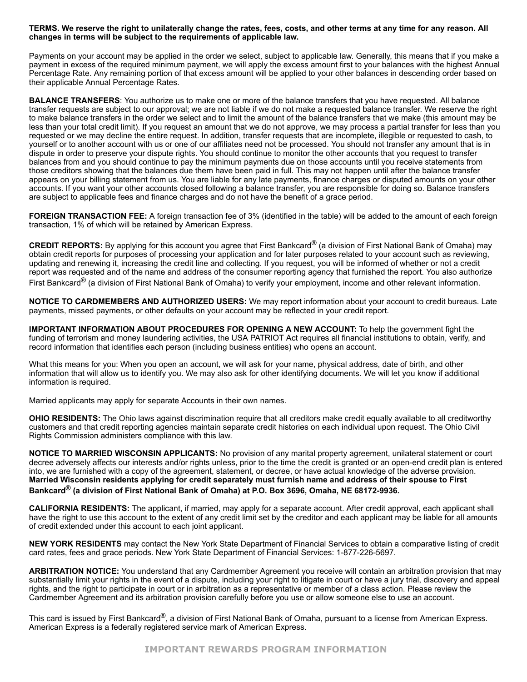#### TERMS. We reserve the right to unilaterally change the rates, fees, costs, and other terms at any time for any reason. All **changes in terms will be subject to the requirements of applicable law.**

Payments on your account may be applied in the order we select, subject to applicable law. Generally, this means that if you make a payment in excess of the required minimum payment, we will apply the excess amount first to your balances with the highest Annual Percentage Rate. Any remaining portion of that excess amount will be applied to your other balances in descending order based on their applicable Annual Percentage Rates.

**BALANCE TRANSFERS**: You authorize us to make one or more of the balance transfers that you have requested. All balance transfer requests are subject to our approval; we are not liable if we do not make a requested balance transfer. We reserve the right to make balance transfers in the order we select and to limit the amount of the balance transfers that we make (this amount may be less than your total credit limit). If you request an amount that we do not approve, we may process a partial transfer for less than you requested or we may decline the entire request. In addition, transfer requests that are incomplete, illegible or requested to cash, to yourself or to another account with us or one of our affiliates need not be processed. You should not transfer any amount that is in dispute in order to preserve your dispute rights. You should continue to monitor the other accounts that you request to transfer balances from and you should continue to pay the minimum payments due on those accounts until you receive statements from those creditors showing that the balances due them have been paid in full. This may not happen until after the balance transfer appears on your billing statement from us. You are liable for any late payments, finance charges or disputed amounts on your other accounts. If you want your other accounts closed following a balance transfer, you are responsible for doing so. Balance transfers are subject to applicable fees and finance charges and do not have the benefit of a grace period.

**FOREIGN TRANSACTION FEE:** A foreign transaction fee of 3% (identified in the table) will be added to the amount of each foreign transaction, 1% of which will be retained by American Express.

**CREDIT REPORTS:** By applying for this account you agree that First Bankcard® (a division of First National Bank of Omaha) may obtain credit reports for purposes of processing your application and for later purposes related to your account such as reviewing, updating and renewing it, increasing the credit line and collecting. If you request, you will be informed of whether or not a credit report was requested and of the name and address of the consumer reporting agency that furnished the report. You also authorize First Bankcard<sup>®</sup> (a division of First National Bank of Omaha) to verify your employment, income and other relevant information.

**NOTICE TO CARDMEMBERS AND AUTHORIZED USERS:** We may report information about your account to credit bureaus. Late payments, missed payments, or other defaults on your account may be reflected in your credit report.

**IMPORTANT INFORMATION ABOUT PROCEDURES FOR OPENING A NEW ACCOUNT:** To help the government fight the funding of terrorism and money laundering activities, the USA PATRIOT Act requires all financial institutions to obtain, verify, and record information that identifies each person (including business entities) who opens an account.

What this means for you: When you open an account, we will ask for your name, physical address, date of birth, and other information that will allow us to identify you. We may also ask for other identifying documents. We will let you know if additional information is required.

Married applicants may apply for separate Accounts in their own names.

**OHIO RESIDENTS:** The Ohio laws against discrimination require that all creditors make credit equally available to all creditworthy customers and that credit reporting agencies maintain separate credit histories on each individual upon request. The Ohio Civil Rights Commission administers compliance with this law.

**NOTICE TO MARRIED WISCONSIN APPLICANTS:** No provision of any marital property agreement, unilateral statement or court decree adversely affects our interests and/or rights unless, prior to the time the credit is granted or an openend credit plan is entered into, we are furnished with a copy of the agreement, statement, or decree, or have actual knowledge of the adverse provision. Married Wisconsin residents applying for credit separately must furnish name and address of their spouse to First **Bankcard® (a division of First National Bank of Omaha) at P.O. Box 3696, Omaha, NE 681729936.**

**CALIFORNIA RESIDENTS:** The applicant, if married, may apply for a separate account. After credit approval, each applicant shall have the right to use this account to the extent of any credit limit set by the creditor and each applicant may be liable for all amounts of credit extended under this account to each joint applicant.

**NEW YORK RESIDENTS** may contact the New York State Department of Financial Services to obtain a comparative listing of credit card rates, fees and grace periods. New York State Department of Financial Services: 1-877-226-5697.

**ARBITRATION NOTICE:** You understand that any Cardmember Agreement you receive will contain an arbitration provision that may substantially limit your rights in the event of a dispute, including your right to litigate in court or have a jury trial, discovery and appeal rights, and the right to participate in court or in arbitration as a representative or member of a class action. Please review the Cardmember Agreement and its arbitration provision carefully before you use or allow someone else to use an account.

This card is issued by First Bankcard<sup>®</sup>, a division of First National Bank of Omaha, pursuant to a license from American Express. American Express is a federally registered service mark of American Express.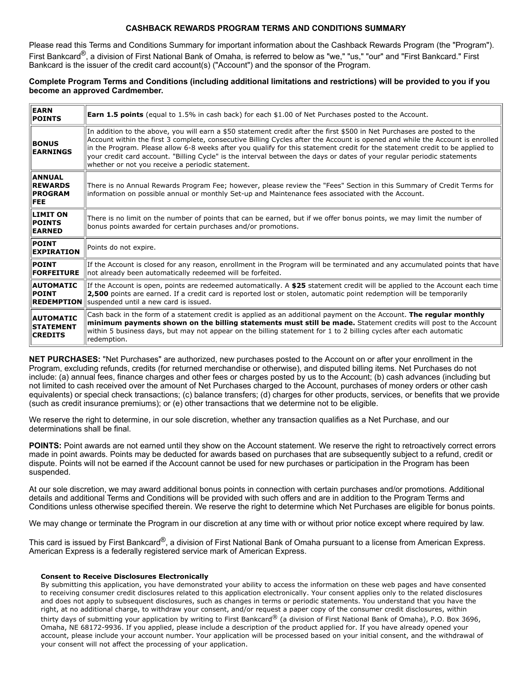# **CASHBACK REWARDS PROGRAM TERMS AND CONDITIONS SUMMARY**

Please read this Terms and Conditions Summary for important information about the Cashback Rewards Program (the "Program"). First Bankcard®, a division of First National Bank of Omaha, is referred to below as "we," "us," "our" and "First Bankcard." First Bankcard is the issuer of the credit card account(s) ("Account") and the sponsor of the Program.

### Complete Program Terms and Conditions (including additional limitations and restrictions) will be provided to you if you **become an approved Cardmember.**

| <b>EARN</b><br><b>POINTS</b>                                    | <b>Earn 1.5 points</b> (equal to 1.5% in cash back) for each \$1.00 of Net Purchases posted to the Account.                                                                                                                                                                                                                                                                                                                                                                                                                                                              |
|-----------------------------------------------------------------|--------------------------------------------------------------------------------------------------------------------------------------------------------------------------------------------------------------------------------------------------------------------------------------------------------------------------------------------------------------------------------------------------------------------------------------------------------------------------------------------------------------------------------------------------------------------------|
| <b>BONUS</b><br><b>EARNINGS</b>                                 | In addition to the above, you will earn a \$50 statement credit after the first \$500 in Net Purchases are posted to the<br>Account within the first 3 complete, consecutive Billing Cycles after the Account is opened and while the Account is enrolled<br>in the Program. Please allow 6-8 weeks after you qualify for this statement credit for the statement credit to be applied to<br>your credit card account. "Billing Cycle" is the interval between the days or dates of your regular periodic statements<br>whether or not you receive a periodic statement. |
| <b>ANNUAL</b><br><b>REWARDS</b><br><b>PROGRAM</b><br><b>FEE</b> | There is no Annual Rewards Program Fee; however, please review the "Fees" Section in this Summary of Credit Terms for<br>information on possible annual or monthly Set-up and Maintenance fees associated with the Account.                                                                                                                                                                                                                                                                                                                                              |
| <b>LIMIT ON</b><br><b>POINTS</b><br><b>EARNED</b>               | There is no limit on the number of points that can be earned, but if we offer bonus points, we may limit the number of<br>bonus points awarded for certain purchases and/or promotions.                                                                                                                                                                                                                                                                                                                                                                                  |
| <b>POINT</b><br><b>EXPIRATION</b>                               | Points do not expire.                                                                                                                                                                                                                                                                                                                                                                                                                                                                                                                                                    |
| <b>POINT</b><br><b>FORFEITURE</b>                               | If the Account is closed for any reason, enrollment in the Program will be terminated and any accumulated points that have<br>not already been automatically redeemed will be forfeited.                                                                                                                                                                                                                                                                                                                                                                                 |
| <b>AUTOMATIC</b><br><b>POINT</b>                                | If the Account is open, points are redeemed automatically. A \$25 statement credit will be applied to the Account each time<br>2,500 points are earned. If a credit card is reported lost or stolen, automatic point redemption will be temporarily<br><b>REDEMPTION</b> suspended until a new card is issued.                                                                                                                                                                                                                                                           |
| <b>AUTOMATIC</b><br><b>STATEMENT</b><br><b>CREDITS</b>          | Cash back in the form of a statement credit is applied as an additional payment on the Account. The regular monthly<br>minimum payments shown on the billing statements must still be made. Statement credits will post to the Account<br>within 5 business days, but may not appear on the billing statement for 1 to 2 billing cycles after each automatic<br>redemption.                                                                                                                                                                                              |

**NET PURCHASES:** "Net Purchases" are authorized, new purchases posted to the Account on or after your enrollment in the Program, excluding refunds, credits (for returned merchandise or otherwise), and disputed billing items. Net Purchases do not include: (a) annual fees, finance charges and other fees or charges posted by us to the Account; (b) cash advances (including but not limited to cash received over the amount of Net Purchases charged to the Account, purchases of money orders or other cash equivalents) or special check transactions; (c) balance transfers; (d) charges for other products, services, or benefits that we provide (such as credit insurance premiums); or (e) other transactions that we determine not to be eligible.

We reserve the right to determine, in our sole discretion, whether any transaction qualifies as a Net Purchase, and our determinations shall be final.

**POINTS:** Point awards are not earned until they show on the Account statement. We reserve the right to retroactively correct errors made in point awards. Points may be deducted for awards based on purchases that are subsequently subject to a refund, credit or dispute. Points will not be earned if the Account cannot be used for new purchases or participation in the Program has been suspended.

At our sole discretion, we may award additional bonus points in connection with certain purchases and/or promotions. Additional details and additional Terms and Conditions will be provided with such offers and are in addition to the Program Terms and Conditions unless otherwise specified therein. We reserve the right to determine which Net Purchases are eligible for bonus points.

We may change or terminate the Program in our discretion at any time with or without prior notice except where required by law.

This card is issued by First Bankcard®, a division of First National Bank of Omaha pursuant to a license from American Express. American Express is a federally registered service mark of American Express.

#### **Consent to Receive Disclosures Electronically**

By submitting this application, you have demonstrated your ability to access the information on these web pages and have consented to receiving consumer credit disclosures related to this application electronically. Your consent applies only to the related disclosures and does not apply to subsequent disclosures, such as changes in terms or periodic statements. You understand that you have the right, at no additional charge, to withdraw your consent, and/or request a paper copy of the consumer credit disclosures, within thirty days of submitting your application by writing to First Bankcard® (a division of First National Bank of Omaha), P.O. Box 3696, Omaha, NE 68172-9936. If you applied, please include a description of the product applied for. If you have already opened your account, please include your account number. Your application will be processed based on your initial consent, and the withdrawal of your consent will not affect the processing of your application.